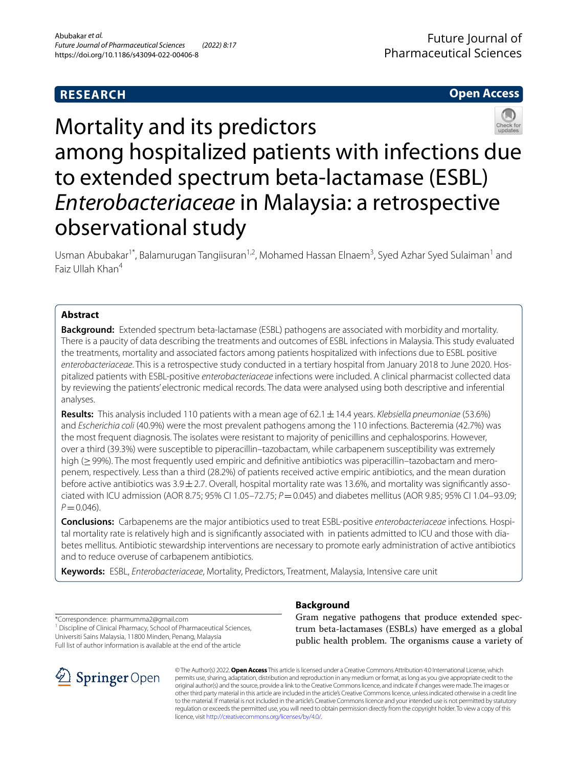# **RESEARCH**

# **Open Access**



# Mortality and its predictors among hospitalized patients with infections due to extended spectrum beta-lactamase (ESBL) *Enterobacteriaceae* in Malaysia: a retrospective observational study

Usman Abubakar<sup>1\*</sup>, Balamurugan Tangiisuran<sup>1,2</sup>, Mohamed Hassan Elnaem<sup>3</sup>, Syed Azhar Syed Sulaiman<sup>1</sup> and Faiz Ullah Khan<sup>4</sup>

# **Abstract**

**Background:** Extended spectrum beta-lactamase (ESBL) pathogens are associated with morbidity and mortality. There is a paucity of data describing the treatments and outcomes of ESBL infections in Malaysia. This study evaluated the treatments, mortality and associated factors among patients hospitalized with infections due to ESBL positive *enterobacteriaceae*. This is a retrospective study conducted in a tertiary hospital from January 2018 to June 2020. Hospitalized patients with ESBL-positive *enterobacteriaceae* infections were included. A clinical pharmacist collected data by reviewing the patients' electronic medical records. The data were analysed using both descriptive and inferential analyses.

**Results:** This analysis included 110 patients with a mean age of 62.1±14.4 years. *Klebsiella pneumoniae* (53.6%) and *Escherichia coli* (40.9%) were the most prevalent pathogens among the 110 infections. Bacteremia (42.7%) was the most frequent diagnosis. The isolates were resistant to majority of penicillins and cephalosporins. However, over a third (39.3%) were susceptible to piperacillin–tazobactam, while carbapenem susceptibility was extremely high ( $>99\%$ ). The most frequently used empiric and definitive antibiotics was piperacillin–tazobactam and meropenem, respectively. Less than a third (28.2%) of patients received active empiric antibiotics, and the mean duration before active antibiotics was 3.9±2.7. Overall, hospital mortality rate was 13.6%, and mortality was signifcantly associated with ICU admission (AOR 8.75; 95% CI 1.05–72.75; *P*=0.045) and diabetes mellitus (AOR 9.85; 95% CI 1.04–93.09;  $P = 0.046$ .

**Conclusions:** Carbapenems are the major antibiotics used to treat ESBL-positive *enterobacteriaceae* infections. Hospital mortality rate is relatively high and is signifcantly associated with in patients admitted to ICU and those with diabetes mellitus. Antibiotic stewardship interventions are necessary to promote early administration of active antibiotics and to reduce overuse of carbapenem antibiotics.

**Keywords:** ESBL, *Enterobacteriaceae*, Mortality, Predictors, Treatment, Malaysia, Intensive care unit

\*Correspondence: pharmumma2@gmail.com

<sup>1</sup> Discipline of Clinical Pharmacy, School of Pharmaceutical Sciences, Universiti Sains Malaysia, 11800 Minden, Penang, Malaysia Full list of author information is available at the end of the article



# **Background**

Gram negative pathogens that produce extended spectrum beta-lactamases (ESBLs) have emerged as a global public health problem. The organisms cause a variety of

© The Author(s) 2022. **Open Access** This article is licensed under a Creative Commons Attribution 4.0 International License, which permits use, sharing, adaptation, distribution and reproduction in any medium or format, as long as you give appropriate credit to the original author(s) and the source, provide a link to the Creative Commons licence, and indicate if changes were made. The images or other third party material in this article are included in the article's Creative Commons licence, unless indicated otherwise in a credit line to the material. If material is not included in the article's Creative Commons licence and your intended use is not permitted by statutory regulation or exceeds the permitted use, you will need to obtain permission directly from the copyright holder. To view a copy of this licence, visit [http://creativecommons.org/licenses/by/4.0/.](http://creativecommons.org/licenses/by/4.0/)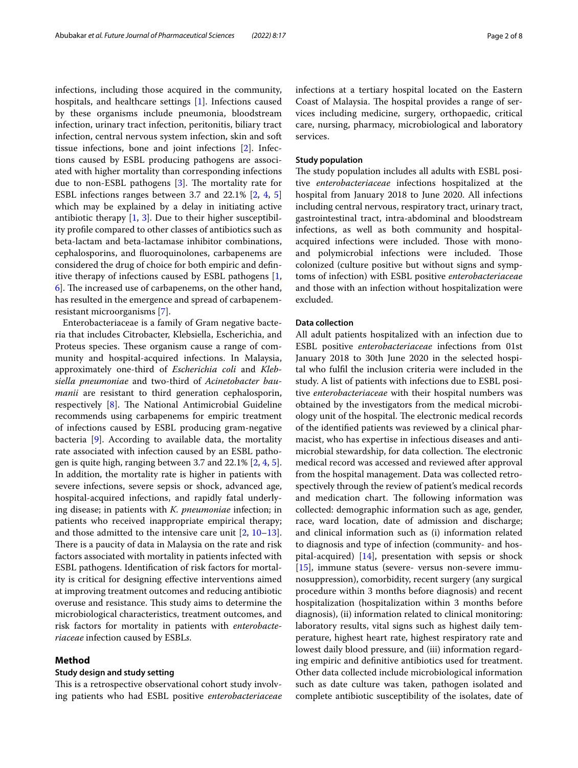infections, including those acquired in the community, hospitals, and healthcare settings [[1](#page-6-0)]. Infections caused by these organisms include pneumonia, bloodstream infection, urinary tract infection, peritonitis, biliary tract infection, central nervous system infection, skin and soft tissue infections, bone and joint infections [\[2](#page-6-1)]. Infections caused by ESBL producing pathogens are associated with higher mortality than corresponding infections due to non-ESBL pathogens  $[3]$  $[3]$ . The mortality rate for ESBL infections ranges between 3.7 and 22.1% [[2,](#page-6-1) [4](#page-7-0), [5](#page-7-1)] which may be explained by a delay in initiating active antibiotic therapy  $[1, 3]$  $[1, 3]$  $[1, 3]$  $[1, 3]$ . Due to their higher susceptibility profle compared to other classes of antibiotics such as beta-lactam and beta-lactamase inhibitor combinations, cephalosporins, and fuoroquinolones, carbapenems are considered the drug of choice for both empiric and defnitive therapy of infections caused by ESBL pathogens [\[1](#page-6-0),  $\left[6\right]$ . The increased use of carbapenems, on the other hand, has resulted in the emergence and spread of carbapenemresistant microorganisms [[7\]](#page-7-3).

Enterobacteriaceae is a family of Gram negative bacteria that includes Citrobacter, Klebsiella, Escherichia, and Proteus species. These organism cause a range of community and hospital-acquired infections. In Malaysia, approximately one-third of *Escherichia coli* and *Klebsiella pneumoniae* and two-third of *Acinetobacter baumanii* are resistant to third generation cephalosporin, respectively  $[8]$ . The National Antimicrobial Guideline recommends using carbapenems for empiric treatment of infections caused by ESBL producing gram-negative bacteria [\[9\]](#page-7-5). According to available data, the mortality rate associated with infection caused by an ESBL pathogen is quite high, ranging between 3.7 and 22.1% [\[2,](#page-6-1) [4,](#page-7-0) [5](#page-7-1)]. In addition, the mortality rate is higher in patients with severe infections, severe sepsis or shock, advanced age, hospital-acquired infections, and rapidly fatal underlying disease; in patients with *K. pneumoniae* infection; in patients who received inappropriate empirical therapy; and those admitted to the intensive care unit [\[2](#page-6-1), [10](#page-7-6)[–13](#page-7-7)]. There is a paucity of data in Malaysia on the rate and risk factors associated with mortality in patients infected with ESBL pathogens. Identifcation of risk factors for mortality is critical for designing efective interventions aimed at improving treatment outcomes and reducing antibiotic overuse and resistance. This study aims to determine the microbiological characteristics, treatment outcomes, and risk factors for mortality in patients with *enterobacteriaceae* infection caused by ESBL*s*.

## **Method**

#### **Study design and study setting**

This is a retrospective observational cohort study involving patients who had ESBL positive *enterobacteriaceae* infections at a tertiary hospital located on the Eastern Coast of Malaysia. The hospital provides a range of services including medicine, surgery, orthopaedic, critical care, nursing, pharmacy, microbiological and laboratory services.

#### **Study population**

The study population includes all adults with ESBL positive *enterobacteriaceae* infections hospitalized at the hospital from January 2018 to June 2020. All infections including central nervous, respiratory tract, urinary tract, gastrointestinal tract, intra-abdominal and bloodstream infections, as well as both community and hospitalacquired infections were included. Those with monoand polymicrobial infections were included. Those colonized (culture positive but without signs and symptoms of infection) with ESBL positive *enterobacteriaceae* and those with an infection without hospitalization were excluded.

## **Data collection**

All adult patients hospitalized with an infection due to ESBL positive *enterobacteriaceae* infections from 01st January 2018 to 30th June 2020 in the selected hospital who fulfl the inclusion criteria were included in the study. A list of patients with infections due to ESBL positive *enterobacteriaceae* with their hospital numbers was obtained by the investigators from the medical microbiology unit of the hospital. The electronic medical records of the identifed patients was reviewed by a clinical pharmacist, who has expertise in infectious diseases and antimicrobial stewardship, for data collection. The electronic medical record was accessed and reviewed after approval from the hospital management. Data was collected retrospectively through the review of patient's medical records and medication chart. The following information was collected: demographic information such as age, gender, race, ward location, date of admission and discharge; and clinical information such as (i) information related to diagnosis and type of infection (community- and hospital-acquired) [\[14](#page-7-8)], presentation with sepsis or shock [[15\]](#page-7-9), immune status (severe- versus non-severe immunosuppression), comorbidity, recent surgery (any surgical procedure within 3 months before diagnosis) and recent hospitalization (hospitalization within 3 months before diagnosis), (ii) information related to clinical monitoring: laboratory results, vital signs such as highest daily temperature, highest heart rate, highest respiratory rate and lowest daily blood pressure, and (iii) information regarding empiric and defnitive antibiotics used for treatment. Other data collected include microbiological information such as date culture was taken, pathogen isolated and complete antibiotic susceptibility of the isolates, date of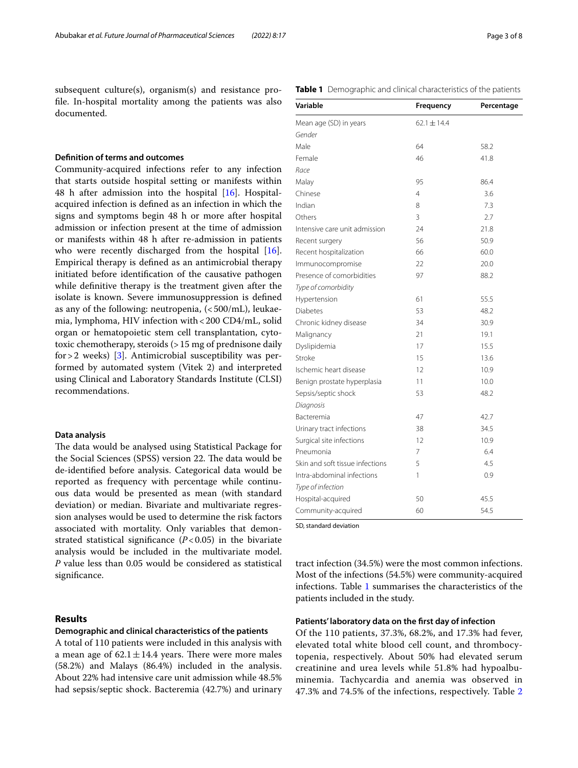## **Defnition of terms and outcomes**

Community-acquired infections refer to any infection that starts outside hospital setting or manifests within 48 h after admission into the hospital  $[16]$ . Hospitalacquired infection is defned as an infection in which the signs and symptoms begin 48 h or more after hospital admission or infection present at the time of admission or manifests within 48 h after re-admission in patients who were recently discharged from the hospital [\[16](#page-7-10)]. Empirical therapy is defned as an antimicrobial therapy initiated before identifcation of the causative pathogen while defnitive therapy is the treatment given after the isolate is known. Severe immunosuppression is defned as any of the following: neutropenia,  $\langle$  <500/mL), leukaemia, lymphoma, HIV infection with<200 CD4/mL, solid organ or hematopoietic stem cell transplantation, cytotoxic chemotherapy, steroids (>15 mg of prednisone daily for  $>$  2 weeks) [[3](#page-6-2)]. Antimicrobial susceptibility was performed by automated system (Vitek 2) and interpreted using Clinical and Laboratory Standards Institute (CLSI) recommendations.

#### **Data analysis**

The data would be analysed using Statistical Package for the Social Sciences (SPSS) version 22. The data would be de-identifed before analysis. Categorical data would be reported as frequency with percentage while continuous data would be presented as mean (with standard deviation) or median. Bivariate and multivariate regression analyses would be used to determine the risk factors associated with mortality. Only variables that demonstrated statistical significance  $(P<0.05)$  in the bivariate analysis would be included in the multivariate model. *P* value less than 0.05 would be considered as statistical significance.

### **Results**

#### **Demographic and clinical characteristics of the patients**

A total of 110 patients were included in this analysis with a mean age of  $62.1 \pm 14.4$  years. There were more males (58.2%) and Malays (86.4%) included in the analysis. About 22% had intensive care unit admission while 48.5% had sepsis/septic shock. Bacteremia (42.7%) and urinary

<span id="page-2-0"></span>

|  | Table 1 Demographic and clinical characteristics of the patients |  |  |  |  |
|--|------------------------------------------------------------------|--|--|--|--|
|--|------------------------------------------------------------------|--|--|--|--|

| Variable                        | Frequency       | Percentage |
|---------------------------------|-----------------|------------|
| Mean age (SD) in years          | $62.1 \pm 14.4$ |            |
| Gender                          |                 |            |
| Male                            | 64              | 58.2       |
| Female                          | 46              | 41.8       |
| Race                            |                 |            |
| Malay                           | 95              | 86.4       |
| Chinese                         | $\overline{4}$  | 3.6        |
| Indian                          | 8               | 7.3        |
| Others                          | 3               | 2.7        |
| Intensive care unit admission   | 24              | 21.8       |
| Recent surgery                  | 56              | 50.9       |
| Recent hospitalization          | 66              | 60.0       |
| Immunocompromise                | 22              | 20.0       |
| Presence of comorbidities       | 97              | 88.2       |
| Type of comorbidity             |                 |            |
| Hypertension                    | 61              | 55.5       |
| Diabetes                        | 53              | 48.2       |
| Chronic kidney disease          | 34              | 30.9       |
| Malignancy                      | 21              | 19.1       |
| Dyslipidemia                    | 17              | 15.5       |
| Stroke                          | 15              | 13.6       |
| Ischemic heart disease          | 12              | 10.9       |
| Benign prostate hyperplasia     | 11              | 10.0       |
| Sepsis/septic shock             | 53              | 48.2       |
| Diagnosis                       |                 |            |
| Bacteremia                      | 47              | 42.7       |
| Urinary tract infections        | 38              | 34.5       |
| Surgical site infections        | 12              | 10.9       |
| Pneumonia                       | 7               | 6.4        |
| Skin and soft tissue infections | 5               | 4.5        |
| Intra-abdominal infections      | 1               | 0.9        |
| Type of infection               |                 |            |
| Hospital-acquired               | 50              | 45.5       |
| Community-acquired              | 60              | 54.5       |

SD, standard deviation

tract infection (34.5%) were the most common infections. Most of the infections (54.5%) were community-acquired infections. Table [1](#page-2-0) summarises the characteristics of the patients included in the study.

#### **Patients' laboratory data on the frst day of infection**

Of the 110 patients, 37.3%, 68.2%, and 17.3% had fever, elevated total white blood cell count, and thrombocytopenia, respectively. About 50% had elevated serum creatinine and urea levels while 51.8% had hypoalbuminemia. Tachycardia and anemia was observed in 47.3% and 74.5% of the infections, respectively. Table [2](#page-3-0)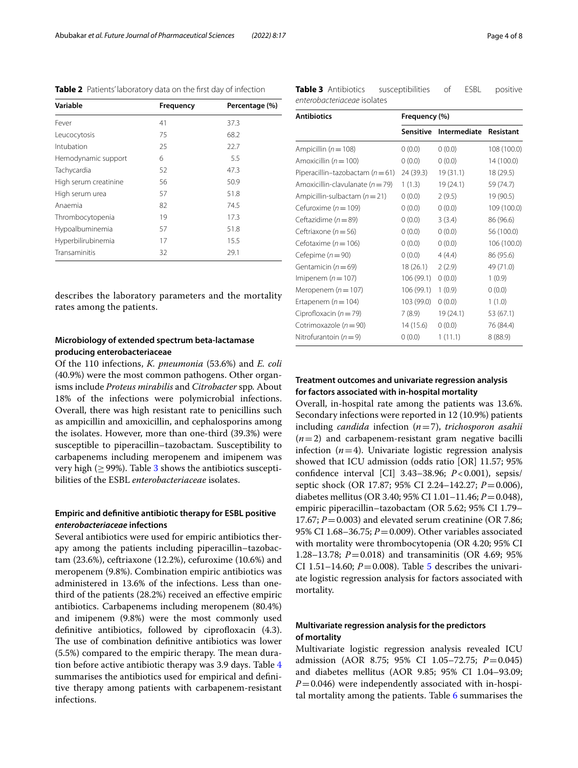<span id="page-3-0"></span>**Table 2** Patients' laboratory data on the first day of infection

| Variable              | <b>Frequency</b> | Percentage (%) |
|-----------------------|------------------|----------------|
| Fever                 | 41               | 37.3           |
| Leucocytosis          | 75               | 68.2           |
| Intubation            | 25               | 22.7           |
| Hemodynamic support   | 6                | 5.5            |
| Tachycardia           | 52               | 47.3           |
| High serum creatinine | 56               | 50.9           |
| High serum urea       | 57               | 51.8           |
| Anaemia               | 82               | 74.5           |
| Thrombocytopenia      | 19               | 17.3           |
| Hypoalbuminemia       | 57               | 51.8           |
| Hyperbilirubinemia    | 17               | 15.5           |
| Transaminitis         | 32               | 29.1           |

describes the laboratory parameters and the mortality rates among the patients.

# **Microbiology of extended spectrum beta‑lactamase producing enterobacteriaceae**

Of the 110 infections, *K. pneumonia* (53.6%) and *E. coli* (40.9%) were the most common pathogens. Other organisms include *Proteus mirabilis* and *Citrobacter* spp*.* About 18% of the infections were polymicrobial infections. Overall, there was high resistant rate to penicillins such as ampicillin and amoxicillin, and cephalosporins among the isolates. However, more than one-third (39.3%) were susceptible to piperacillin–tazobactam. Susceptibility to carbapenems including meropenem and imipenem was very high ( $\geq$  99%). Table [3](#page-3-1) shows the antibiotics susceptibilities of the ESBL *enterobacteriaceae* isolates.

# **Empiric and defnitive antibiotic therapy for ESBL positive**  *enterobacteriaceae* **infections**

Several antibiotics were used for empiric antibiotics therapy among the patients including piperacillin–tazobactam (23.6%), ceftriaxone (12.2%), cefuroxime (10.6%) and meropenem (9.8%). Combination empiric antibiotics was administered in 13.6% of the infections. Less than onethird of the patients (28.2%) received an efective empiric antibiotics. Carbapenems including meropenem (80.4%) and imipenem (9.8%) were the most commonly used definitive antibiotics, followed by ciprofloxacin (4.3). The use of combination definitive antibiotics was lower  $(5.5%)$  compared to the empiric therapy. The mean duration before active antibiotic therapy was 3.9 days. Table [4](#page-4-0) summarises the antibiotics used for empirical and defnitive therapy among patients with carbapenem-resistant infections.

<span id="page-3-1"></span>

| Table 3 Antibiotics         | susceptibilities | ESBL | positive |
|-----------------------------|------------------|------|----------|
| enterobacteriaceae isolates |                  |      |          |

| <b>Antibiotics</b>                   | Frequency (%) |                        |             |  |
|--------------------------------------|---------------|------------------------|-------------|--|
|                                      | Sensitive     | Intermediate Resistant |             |  |
| Ampicillin ( $n = 108$ )             | 0(0.0)        | 0(0.0)                 | 108 (100.0) |  |
| Amoxicillin ( $n = 100$ )            | 0(0.0)        | 0(0.0)                 | 14 (100.0)  |  |
| Piperacillin-tazobactam ( $n = 61$ ) | 24 (39.3)     | 19(31.1)               | 18 (29.5)   |  |
| Amoxicillin-clavulanate ( $n = 79$ ) | 1(1.3)        | 19 (24.1)              | 59 (74.7)   |  |
| Ampicillin-sulbactam $(n=21)$        | 0(0.0)        | 2(9.5)                 | 19 (90.5)   |  |
| Cefuroxime ( $n = 109$ )             | 0(0.0)        | 0(0.0)                 | 109 (100.0) |  |
| Ceftazidime ( $n = 89$ )             | 0(0.0)        | 3(3.4)                 | 86 (96.6)   |  |
| Ceftriaxone ( $n = 56$ )             | 0(0.0)        | 0(0.0)                 | 56 (100.0)  |  |
| Cefotaxime ( $n = 106$ )             | 0(0.0)        | 0(0.0)                 | 106 (100.0) |  |
| Cefepime ( $n = 90$ )                | 0(0.0)        | 4(4.4)                 | 86 (95.6)   |  |
| Gentamicin ( $n = 69$ )              | 18 (26.1)     | 2(2.9)                 | 49 (71.0)   |  |
| Imipenem ( $n = 107$ )               | 106 (99.1)    | 0(0.0)                 | 1(0.9)      |  |
| Meropenem ( $n = 107$ )              | 106 (99.1)    | 1(0.9)                 | 0(0.0)      |  |
| Ertapenem ( $n = 104$ )              | 103 (99.0)    | 0(0.0)                 | 1(1.0)      |  |
| Ciprofloxacin ( $n = 79$ )           | 7(8.9)        | 19 (24.1)              | 53 (67.1)   |  |
| Cotrimoxazole ( $n = 90$ )           | 14 (15.6)     | 0(0.0)                 | 76 (84.4)   |  |
| Nitrofurantoin $(n=9)$               | 0(0.0)        | 1(11.1)                | 8(88.9)     |  |

# **Treatment outcomes and univariate regression analysis for factors associated with in‑hospital mortality**

Overall, in-hospital rate among the patients was 13.6%. Secondary infections were reported in 12 (10.9%) patients including *candida* infection (*n*=7), *trichosporon asahii* (*n*=2) and carbapenem-resistant gram negative bacilli infection  $(n=4)$ . Univariate logistic regression analysis showed that ICU admission (odds ratio [OR] 11.57; 95% confdence interval [CI] 3.43–38.96; *P*<0.001), sepsis/ septic shock (OR 17.87; 95% CI 2.24–142.27; *P*=0.006), diabetes mellitus (OR 3.40; 95% CI 1.01–11.46; *P*=0.048), empiric piperacillin–tazobactam (OR 5.62; 95% CI 1.79– 17.67;  $P = 0.003$ ) and elevated serum creatinine (OR 7.86; 95% CI 1.68–36.75; *P*=0.009). Other variables associated with mortality were thrombocytopenia (OR 4.20; 95% CI 1.28–13.78; *P*=0.018) and transaminitis (OR 4.69; 95% CI 1.[5](#page-5-0)1–14.60;  $P = 0.008$ ). Table 5 describes the univariate logistic regression analysis for factors associated with mortality.

# **Multivariate regression analysis for the predictors of mortality**

Multivariate logistic regression analysis revealed ICU admission (AOR 8.75; 95% CI 1.05–72.75; *P*=0.045) and diabetes mellitus (AOR 9.85; 95% CI 1.04–93.09;  $P=0.046$ ) were independently associated with in-hospital mortality among the patients. Table [6](#page-6-3) summarises the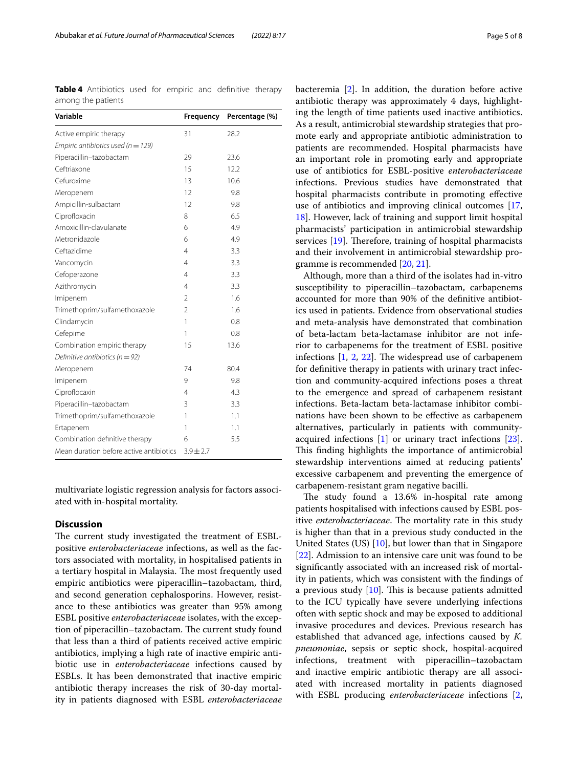<span id="page-4-0"></span>**Table 4** Antibiotics used for empiric and defnitive therapy among the patients

| Variable                                | Frequency      | Percentage (%) |
|-----------------------------------------|----------------|----------------|
| Active empiric therapy                  | 31             | 28.2           |
| Empiric antibiotics used ( $n = 129$ )  |                |                |
| Piperacillin-tazobactam                 | 29             | 23.6           |
| Ceftriaxone                             | 15             | 12.2           |
| Cefuroxime                              | 13             | 10.6           |
| Meropenem                               | 12             | 9.8            |
| Ampicillin-sulbactam                    | 12             | 9.8            |
| Ciprofloxacin                           | 8              | 6.5            |
| Amoxicillin-clavulanate                 | 6              | 4.9            |
| Metronidazole                           | 6              | 4.9            |
| Ceftazidime                             | 4              | 3.3            |
| Vancomycin                              | 4              | 3.3            |
| Cefoperazone                            | 4              | 3.3            |
| Azithromycin                            | $\overline{4}$ | 3.3            |
| Imipenem                                | $\overline{2}$ | 1.6            |
| Trimethoprim/sulfamethoxazole           | $\overline{2}$ | 1.6            |
| Clindamycin                             | 1              | 0.8            |
| Cefepime                                | 1              | 0.8            |
| Combination empiric therapy             | 15             | 13.6           |
| Definitive antibiotics ( $n = 92$ )     |                |                |
| Meropenem                               | 74             | 80.4           |
| Imipenem                                | 9              | 9.8            |
| Ciproflocaxin                           | 4              | 4.3            |
| Piperacillin-tazobactam                 | 3              | 3.3            |
| Trimethoprim/sulfamethoxazole           | 1              | 1.1            |
| Ertapenem                               | 1              | 1.1            |
| Combination definitive therapy          | 6              | 5.5            |
| Mean duration before active antibiotics | $3.9 \pm 2.7$  |                |

multivariate logistic regression analysis for factors associated with in-hospital mortality.

#### **Discussion**

The current study investigated the treatment of ESBLpositive *enterobacteriaceae* infections, as well as the factors associated with mortality, in hospitalised patients in a tertiary hospital in Malaysia. The most frequently used empiric antibiotics were piperacillin–tazobactam, third, and second generation cephalosporins. However, resistance to these antibiotics was greater than 95% among ESBL positive *enterobacteriaceae* isolates, with the exception of piperacillin–tazobactam. The current study found that less than a third of patients received active empiric antibiotics, implying a high rate of inactive empiric antibiotic use in *enterobacteriaceae* infections caused by ESBLs. It has been demonstrated that inactive empiric antibiotic therapy increases the risk of 30-day mortality in patients diagnosed with ESBL *enterobacteriaceae*

bacteremia [[2\]](#page-6-1). In addition, the duration before active antibiotic therapy was approximately 4 days, highlighting the length of time patients used inactive antibiotics. As a result, antimicrobial stewardship strategies that promote early and appropriate antibiotic administration to patients are recommended. Hospital pharmacists have an important role in promoting early and appropriate use of antibiotics for ESBL-positive *enterobacteriaceae* infections. Previous studies have demonstrated that hospital pharmacists contribute in promoting efective use of antibiotics and improving clinical outcomes [[17](#page-7-11), [18\]](#page-7-12). However, lack of training and support limit hospital pharmacists' participation in antimicrobial stewardship services  $[19]$  $[19]$ . Therefore, training of hospital pharmacists and their involvement in antimicrobial stewardship programme is recommended [[20](#page-7-14), [21\]](#page-7-15).

Although, more than a third of the isolates had in-vitro susceptibility to piperacillin–tazobactam, carbapenems accounted for more than 90% of the defnitive antibiotics used in patients. Evidence from observational studies and meta-analysis have demonstrated that combination of beta-lactam beta-lactamase inhibitor are not inferior to carbapenems for the treatment of ESBL positive infections  $[1, 2, 22]$  $[1, 2, 22]$  $[1, 2, 22]$  $[1, 2, 22]$  $[1, 2, 22]$  $[1, 2, 22]$  $[1, 2, 22]$ . The widespread use of carbapenem for defnitive therapy in patients with urinary tract infection and community-acquired infections poses a threat to the emergence and spread of carbapenem resistant infections. Beta-lactam beta-lactamase inhibitor combinations have been shown to be efective as carbapenem alternatives, particularly in patients with communityacquired infections [\[1](#page-6-0)] or urinary tract infections [\[23](#page-7-17)]. This finding highlights the importance of antimicrobial stewardship interventions aimed at reducing patients' excessive carbapenem and preventing the emergence of carbapenem-resistant gram negative bacilli.

The study found a 13.6% in-hospital rate among patients hospitalised with infections caused by ESBL positive *enterobacteriaceae*. The mortality rate in this study is higher than that in a previous study conducted in the United States (US) [[10\]](#page-7-6), but lower than that in Singapore [[22\]](#page-7-16). Admission to an intensive care unit was found to be signifcantly associated with an increased risk of mortality in patients, which was consistent with the fndings of a previous study  $[10]$ . This is because patients admitted to the ICU typically have severe underlying infections often with septic shock and may be exposed to additional invasive procedures and devices. Previous research has established that advanced age, infections caused by *K. pneumoniae*, sepsis or septic shock, hospital-acquired infections, treatment with piperacillin–tazobactam and inactive empiric antibiotic therapy are all associated with increased mortality in patients diagnosed with ESBL producing *enterobacteriaceae* infections [\[2](#page-6-1),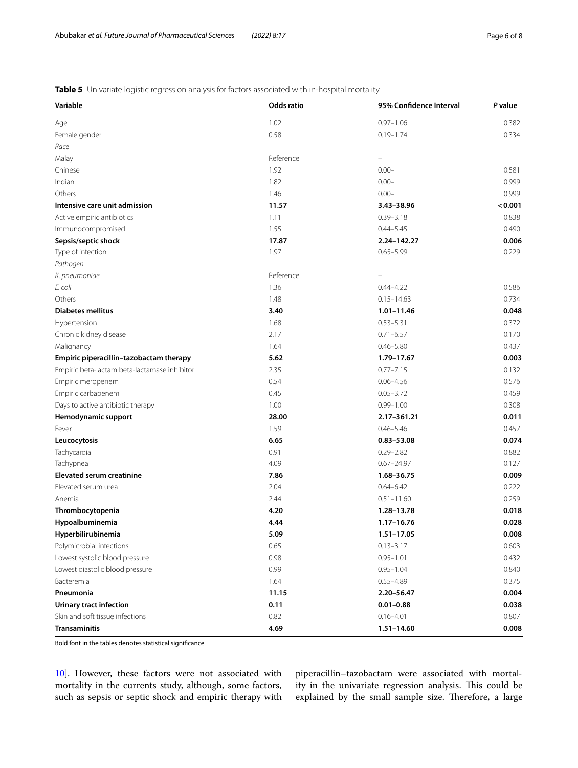## <span id="page-5-0"></span>**Table 5** Univariate logistic regression analysis for factors associated with in-hospital mortality

| Variable                                     | Odds ratio | 95% Confidence Interval | P value |
|----------------------------------------------|------------|-------------------------|---------|
| Age                                          | 1.02       | $0.97 - 1.06$           | 0.382   |
| Female gender                                | 0.58       | $0.19 - 1.74$           | 0.334   |
| Race                                         |            |                         |         |
| Malay                                        | Reference  |                         |         |
| Chinese                                      | 1.92       | $0.00 -$                | 0.581   |
| Indian                                       | 1.82       | $0.00 -$                | 0.999   |
| Others                                       | 1.46       | $0.00 -$                | 0.999   |
| Intensive care unit admission                | 11.57      | 3.43-38.96              | < 0.001 |
| Active empiric antibiotics                   | 1.11       | $0.39 - 3.18$           | 0.838   |
| Immunocompromised                            | 1.55       | $0.44 - 5.45$           | 0.490   |
| Sepsis/septic shock                          | 17.87      | 2.24-142.27             | 0.006   |
| Type of infection                            | 1.97       | $0.65 - 5.99$           | 0.229   |
| Pathogen                                     |            |                         |         |
| K. pneumoniae                                | Reference  |                         |         |
| E. coli                                      | 1.36       | $0.44 - 4.22$           | 0.586   |
| Others                                       | 1.48       | $0.15 - 14.63$          | 0.734   |
| <b>Diabetes mellitus</b>                     | 3.40       | $1.01 - 11.46$          | 0.048   |
| Hypertension                                 | 1.68       | $0.53 - 5.31$           | 0.372   |
| Chronic kidney disease                       | 2.17       | $0.71 - 6.57$           | 0.170   |
| Malignancy                                   | 1.64       | $0.46 - 5.80$           | 0.437   |
| Empiric piperacillin-tazobactam therapy      | 5.62       | 1.79-17.67              | 0.003   |
| Empiric beta-lactam beta-lactamase inhibitor | 2.35       | $0.77 - 7.15$           | 0.132   |
| Empiric meropenem                            | 0.54       | $0.06 - 4.56$           | 0.576   |
| Empiric carbapenem                           | 0.45       | $0.05 - 3.72$           | 0.459   |
| Days to active antibiotic therapy            | 1.00       | $0.99 - 1.00$           | 0.308   |
| Hemodynamic support                          | 28.00      | 2.17-361.21             | 0.011   |
| Fever                                        | 1.59       | $0.46 - 5.46$           | 0.457   |
| Leucocytosis                                 | 6.65       | $0.83 - 53.08$          | 0.074   |
| Tachycardia                                  | 0.91       | $0.29 - 2.82$           | 0.882   |
| Tachypnea                                    | 4.09       | $0.67 - 24.97$          | 0.127   |
| <b>Elevated serum creatinine</b>             | 7.86       | 1.68-36.75              | 0.009   |
| Elevated serum urea                          | 2.04       | $0.64 - 6.42$           | 0.222   |
| Anemia                                       | 2.44       | $0.51 - 11.60$          | 0.259   |
| Thrombocytopenia                             | 4.20       | 1.28-13.78              | 0.018   |
| Hypoalbuminemia                              | 4.44       | $1.17 - 16.76$          | 0.028   |
| Hyperbilirubinemia                           | 5.09       | $1.51 - 17.05$          | 0.008   |
| Polymicrobial infections                     | 0.65       | $0.13 - 3.17$           | 0.603   |
| Lowest systolic blood pressure               | 0.98       | $0.95 - 1.01$           | 0.432   |
| Lowest diastolic blood pressure              | 0.99       | $0.95 - 1.04$           | 0.840   |
| Bacteremia                                   | 1.64       | $0.55 - 4.89$           | 0.375   |
| Pneumonia                                    | 11.15      | 2.20-56.47              | 0.004   |
| <b>Urinary tract infection</b>               | 0.11       | $0.01 - 0.88$           | 0.038   |
| Skin and soft tissue infections              | 0.82       | $0.16 - 4.01$           | 0.807   |
| <b>Transaminitis</b>                         | 4.69       | $1.51 - 14.60$          | 0.008   |

Bold font in the tables denotes statistical signifcance

[10\]](#page-7-6). However, these factors were not associated with mortality in the currents study, although, some factors, such as sepsis or septic shock and empiric therapy with piperacillin–tazobactam were associated with mortality in the univariate regression analysis. This could be explained by the small sample size. Therefore, a large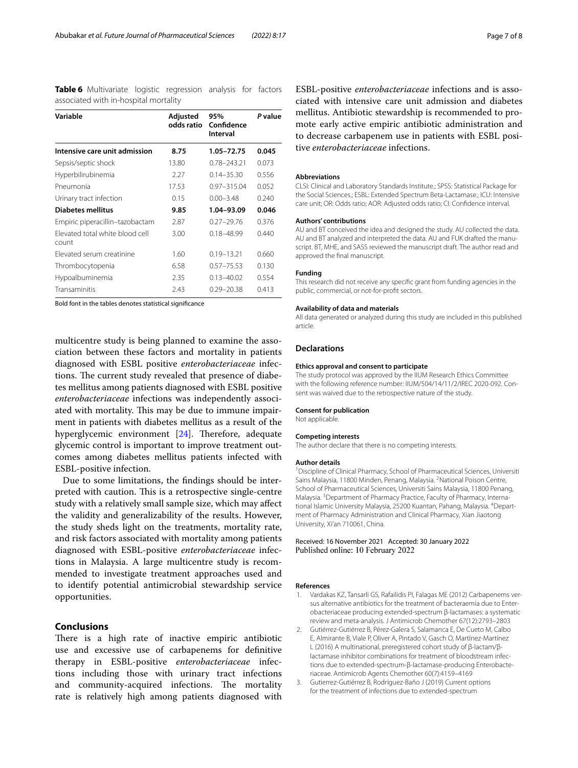<span id="page-6-3"></span>**Table 6** Multivariate logistic regression analysis for factors associated with in-hospital mortality

| Variable                                 | Adjusted<br>odds ratio | 95%<br>Confidence<br>Interval | P value |
|------------------------------------------|------------------------|-------------------------------|---------|
| Intensive care unit admission            | 8.75                   | 1.05-72.75                    | 0.045   |
| Sepsis/septic shock                      | 13.80                  | $0.78 - 243.21$               | 0.073   |
| Hyperbilirubinemia                       | 2.27                   | $0.14 - 35.30$                | 0.556   |
| Pneumonia                                | 17.53                  | $0.97 - 315.04$               | 0.052   |
| Urinary tract infection                  | 0.15                   | $0.00 - 3.48$                 | 0.240   |
| <b>Diabetes mellitus</b>                 | 9.85                   | 1.04-93.09                    | 0.046   |
| Empiric piperacillin-tazobactam          | 2.87                   | $0.27 - 29.76$                | 0.376   |
| Flevated total white blood cell<br>count | 3.00                   | $0.18 - 48.99$                | 0.440   |
| Flevated serum creatinine                | 1.60                   | $0.19 - 13.21$                | 0.660   |
| Thrombocytopenia                         | 6.58                   | $0.57 - 75.53$                | 0.130   |
| Hypoalbuminemia                          | 2.35                   | $0.13 - 40.02$                | 0.554   |
| Transaminitis                            | 2.43                   | $0.29 - 20.38$                | 0.413   |

Bold font in the tables denotes statistical signifcance

multicentre study is being planned to examine the association between these factors and mortality in patients diagnosed with ESBL positive *enterobacteriaceae* infections. The current study revealed that presence of diabetes mellitus among patients diagnosed with ESBL positive *enterobacteriaceae* infections was independently associated with mortality. This may be due to immune impairment in patients with diabetes mellitus as a result of the hyperglycemic environment [\[24](#page-7-18)]. Therefore, adequate glycemic control is important to improve treatment outcomes among diabetes mellitus patients infected with ESBL-positive infection.

Due to some limitations, the fndings should be interpreted with caution. This is a retrospective single-centre study with a relatively small sample size, which may afect the validity and generalizability of the results. However, the study sheds light on the treatments, mortality rate, and risk factors associated with mortality among patients diagnosed with ESBL-positive *enterobacteriaceae* infections in Malaysia. A large multicentre study is recommended to investigate treatment approaches used and to identify potential antimicrobial stewardship service opportunities.

#### **Conclusions**

There is a high rate of inactive empiric antibiotic use and excessive use of carbapenems for defnitive therapy in ESBL-positive *enterobacteriaceae* infections including those with urinary tract infections and community-acquired infections. The mortality rate is relatively high among patients diagnosed with

ESBL-positive *enterobacteriaceae* infections and is associated with intensive care unit admission and diabetes mellitus. Antibiotic stewardship is recommended to promote early active empiric antibiotic administration and to decrease carbapenem use in patients with ESBL positive *enterobacteriaceae* infections.

#### **Abbreviations**

CLSI: Clinical and Laboratory Standards Institute.; SPSS: Statistical Package for the Social Sciences.; ESBL: Extended Spectrum Beta-Lactamase.; ICU: Intensive care unit; OR: Odds ratio; AOR: Adjusted odds ratio; CI: Confdence interval.

#### **Authors' contributions**

AU and BT conceived the idea and designed the study. AU collected the data. AU and BT analyzed and interpreted the data. AU and FUK drafted the manuscript. BT, MHE, and SASS reviewed the manuscript draft. The author read and approved the fnal manuscript.

#### **Funding**

This research did not receive any specifc grant from funding agencies in the public, commercial, or not-for-proft sectors.

#### **Availability of data and materials**

All data generated or analyzed during this study are included in this published article.

#### **Declarations**

#### **Ethics approval and consent to participate**

The study protocol was approved by the IIUM Research Ethics Committee with the following reference number: IIUM/504/14/11/2/IREC 2020-092. Consent was waived due to the retrospective nature of the study.

#### **Consent for publication**

Not applicable.

#### **Competing interests**

The author declare that there is no competing interests.

#### **Author details**

<sup>1</sup> Discipline of Clinical Pharmacy, School of Pharmaceutical Sciences, Universiti Sains Malaysia, 11800 Minden, Penang, Malaysia. <sup>2</sup>National Poison Centre, School of Pharmaceutical Sciences, Universiti Sains Malaysia, 11800 Penang, Malaysia. <sup>3</sup> Department of Pharmacy Practice, Faculty of Pharmacy, International Islamic University Malaysia, 25200 Kuantan, Pahang, Malaysia. <sup>4</sup>Department of Pharmacy Administration and Clinical Pharmacy, Xian Jiaotong University, Xi'an 710061, China.

#### Received: 16 November 2021 Accepted: 30 January 2022 Published online: 10 February 2022

#### **References**

- <span id="page-6-0"></span>1. Vardakas KZ, Tansarli GS, Rafailidis PI, Falagas ME (2012) Carbapenems versus alternative antibiotics for the treatment of bacteraemia due to Enterobacteriaceae producing extended-spectrum β-lactamases: a systematic review and meta-analysis. J Antimicrob Chemother 67(12):2793–2803
- <span id="page-6-1"></span>2. Gutiérrez-Gutiérrez B, Pérez-Galera S, Salamanca E, De Cueto M, Calbo E, Almirante B, Viale P, Oliver A, Pintado V, Gasch O, Martínez-Martínez L (2016) A multinational, preregistered cohort study of β-lactam/βlactamase inhibitor combinations for treatment of bloodstream infections due to extended-spectrum-β-lactamase-producing Enterobacteriaceae. Antimicrob Agents Chemother 60(7):4159–4169
- <span id="page-6-2"></span>3. Gutierrez-Gutiérrez B, Rodríguez-Baño J (2019) Current options for the treatment of infections due to extended-spectrum